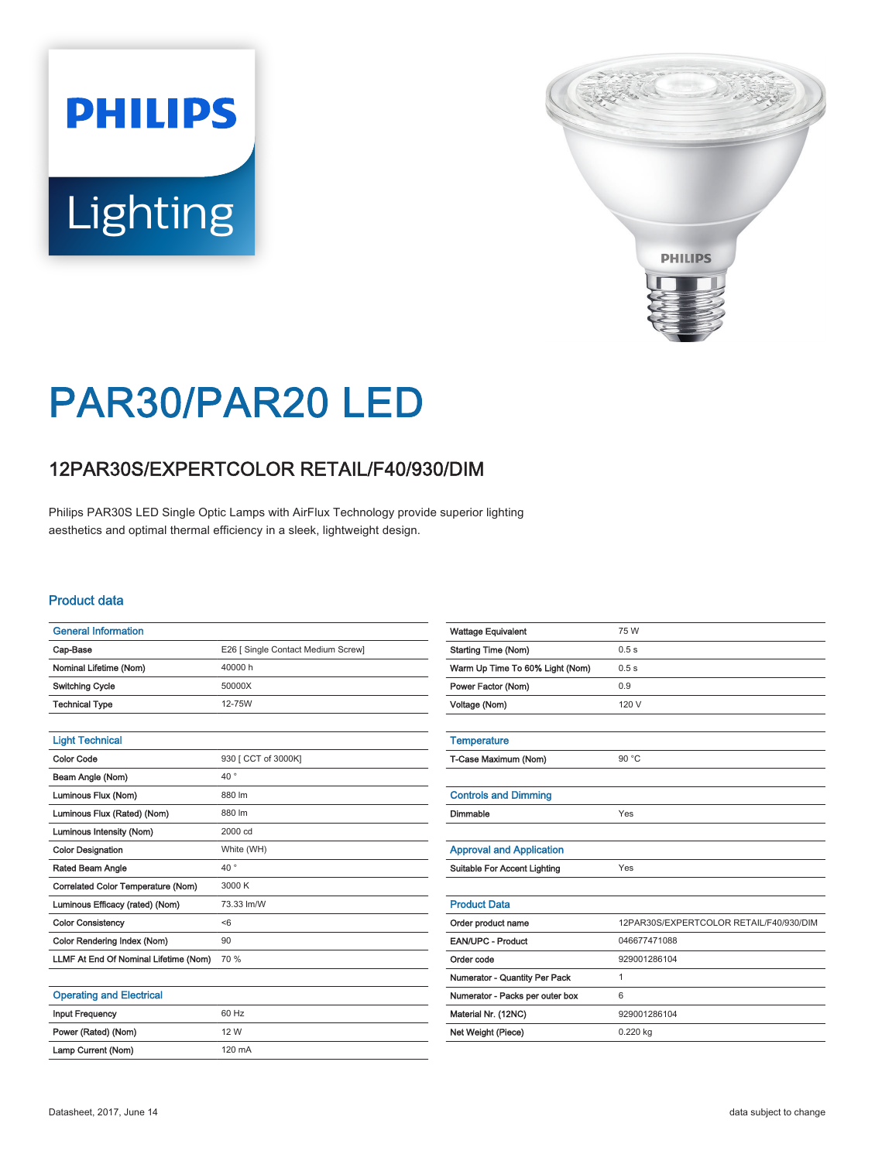# **PHILIPS** Lighting



## PAR30/PAR20 LED

### 12PAR30S/EXPERTCOLOR RETAIL/F40/930/DIM

Philips PAR30S LED Single Optic Lamps with AirFlux Technology provide superior lighting aesthetics and optimal thermal efficiency in a sleek, lightweight design.

#### Product data

| <b>General Information</b>            |                                    |
|---------------------------------------|------------------------------------|
| Cap-Base                              | E26 [ Single Contact Medium Screw] |
| Nominal Lifetime (Nom)                | 40000 h                            |
| <b>Switching Cycle</b>                | 50000X                             |
| <b>Technical Type</b>                 | 12-75W                             |
|                                       |                                    |
| <b>Light Technical</b>                |                                    |
| <b>Color Code</b>                     | 930 [ CCT of 3000K]                |
| Beam Angle (Nom)                      | $40^{\circ}$                       |
| Luminous Flux (Nom)                   | 880 lm                             |
| Luminous Flux (Rated) (Nom)           | 880 lm                             |
| Luminous Intensity (Nom)              | 2000 cd                            |
| <b>Color Designation</b>              | White (WH)                         |
| Rated Beam Angle                      | $40^{\circ}$                       |
| Correlated Color Temperature (Nom)    | 3000 K                             |
| Luminous Efficacy (rated) (Nom)       | 73.33 lm/W                         |
| <b>Color Consistency</b>              | < 6                                |
| Color Rendering Index (Nom)           | 90                                 |
| LLMF At End Of Nominal Lifetime (Nom) | 70 %                               |
|                                       |                                    |

| <b>Operating and Electrical</b> |                  |
|---------------------------------|------------------|
| Input Frequency                 | 60 Hz            |
| Power (Rated) (Nom)             | 12 W             |
| Lamp Current (Nom)              | $120 \text{ mA}$ |
|                                 |                  |

| <b>Wattage Equivalent</b>           | 75 W                                    |
|-------------------------------------|-----------------------------------------|
| <b>Starting Time (Nom)</b>          | 0.5s                                    |
| Warm Up Time To 60% Light (Nom)     | 0.5s                                    |
| Power Factor (Nom)                  | 0.9                                     |
| Voltage (Nom)                       | 120 V                                   |
|                                     |                                         |
| <b>Temperature</b>                  |                                         |
| T-Case Maximum (Nom)                | 90 °C                                   |
|                                     |                                         |
| <b>Controls and Dimming</b>         |                                         |
| Dimmable                            | Yes                                     |
|                                     |                                         |
| <b>Approval and Application</b>     |                                         |
| <b>Suitable For Accent Lighting</b> | Yes                                     |
|                                     |                                         |
| <b>Product Data</b>                 |                                         |
| Order product name                  | 12PAR30S/EXPERTCOLOR RETAIL/F40/930/DIM |
| <b>EAN/UPC - Product</b>            | 046677471088                            |
| Order code                          | 929001286104                            |
| Numerator - Quantity Per Pack       | $\mathbf{1}$                            |
| Numerator - Packs per outer box     | 6                                       |
| Material Nr. (12NC)                 | 929001286104                            |
| Net Weight (Piece)                  | 0.220 kg                                |
|                                     |                                         |